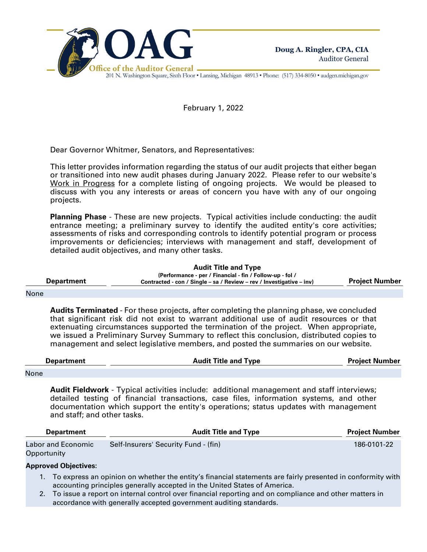

201 N. Washington Square, Sixth Floor • Lansing, Michigan 48913 • Phone: (517) 334-8050 • audgen.michigan.gov

February 1, 2022

Dear Governor Whitmer, Senators, and Representatives:

This letter provides information regarding the status of our audit projects that either began or transitioned into new audit phases during January 2022. Please refer to our website's Work in Progress for a complete listing of ongoing projects. We would be pleased to discuss with you any interests or areas of concern you have with any of our ongoing projects.

**Planning Phase** - These are new projects. Typical activities include conducting: the audit entrance meeting; a preliminary survey to identify the audited entity's core activities; assessments of risks and corresponding controls to identify potential program or process improvements or deficiencies; interviews with management and staff, development of detailed audit objectives, and many other tasks.

**Audit Title and Type**

**Department (Performance - per / Financial - fin / Follow-up - fol / Contracted - con / Single – sa / Review – rev / Investigative – inv) Project Number**

## None

**Audits Terminated** - For these projects, after completing the planning phase, we concluded that significant risk did not exist to warrant additional use of audit resources or that extenuating circumstances supported the termination of the project. When appropriate, we issued a Preliminary Survey Summary to reflect this conclusion, distributed copies to management and select legislative members, and posted the summaries on our website.

| Denartment                            | <b>Audit Title and Type</b> | <b>Project Number</b> |
|---------------------------------------|-----------------------------|-----------------------|
|                                       |                             |                       |
| and the company of the company of the |                             |                       |

None

**Audit Fieldwork** - Typical activities include: additional management and staff interviews; detailed testing of financial transactions, case files, information systems, and other documentation which support the entity's operations; status updates with management and staff; and other tasks.

| <b>Department</b>                 | <b>Audit Title and Type</b>          |             |  |
|-----------------------------------|--------------------------------------|-------------|--|
| Labor and Economic<br>Opportunity | Self-Insurers' Security Fund - (fin) | 186-0101-22 |  |

## **Approved Objectives:**

- 1. To express an opinion on whether the entity's financial statements are fairly presented in conformity with accounting principles generally accepted in the United States of America.
- 2. To issue a report on internal control over financial reporting and on compliance and other matters in accordance with generally accepted government auditing standards.